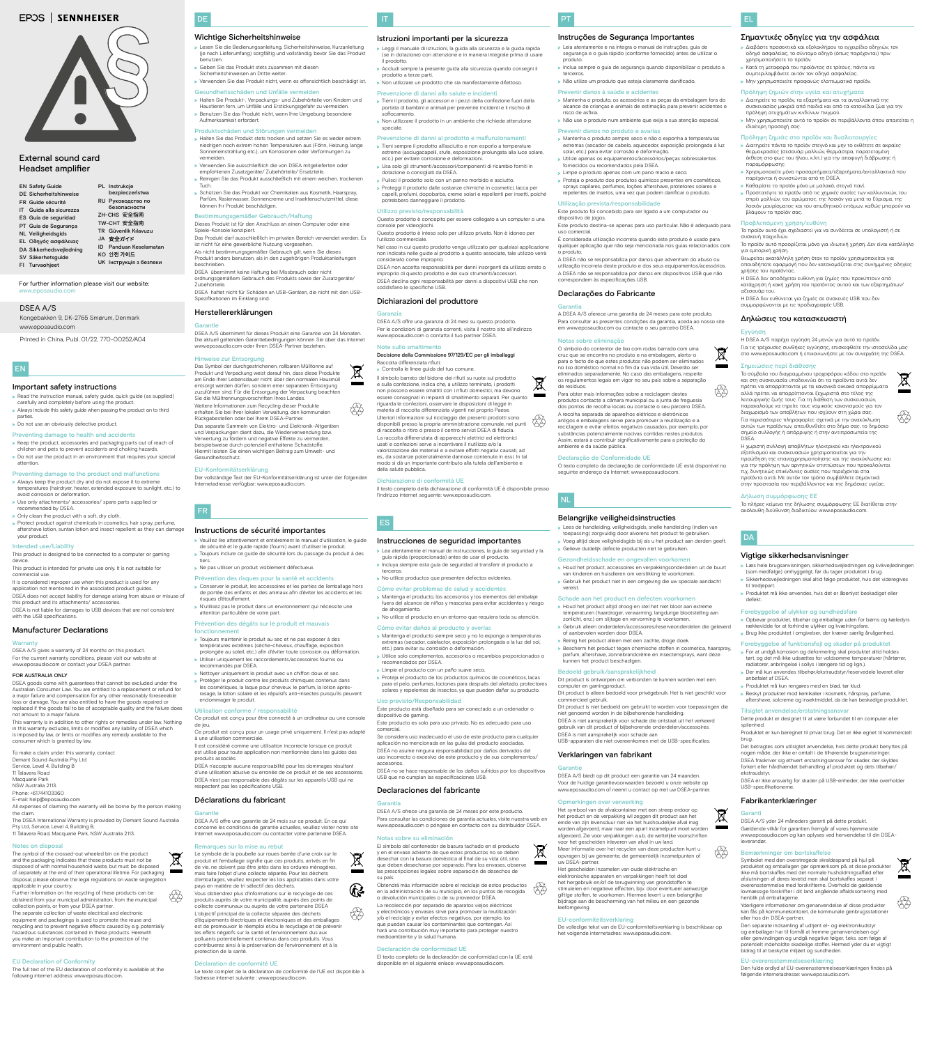IT

### Istruzioni importanti per la sicurezza

>>Leggi il manuale di istruzioni, la guida alla sicurezza e la guida rapida (se in dotazione) con attenzione e in maniera integrale prima di usare il prodotto.

>>Accludi sempre la presente guida alla sicurezza quando consegni il prodotto a terze parti. >>Non utilizzare un prodotto che sia manifestamente difettoso.

### Prevenzione di danni alla salute e incidenti

- >>Tieni il prodotto, gli accessori e i pezzi della confezione fuori della portata di bambini e animali per prevenire incidenti e il rischio di soffocamento.
- >>Non utilizzare il prodotto in un ambiente che richiede attenzione speciale.

#### Prevenzione di danni al prodotto e malfunzionamenti

- >>Tieni sempre il prodotto all'asciutto e non esporlo a temperature estreme (asciugacapelli, stufe, esposizione prolungata alla luce solare, ecc.) per evitare corrosione e deformazioni.
- >>Usa solo gli strumenti/accessori/componenti di ricambio forniti in dotazione o consigliati da DSEA.
- >>Pulisci il prodotto solo con un panno morbido e asciutto.
- >>Proteggi il prodotto dalle sostanze chimiche in cosmetici, lacca per capelli, profumi, dopobarba, creme solari e repellenti per insetti, poiché potrebbero danneggiare il prodotto.

Il simbolo barrato del bidone dei rifiuti su ruote sul prodotto e sulla confezione, indica che, a utilizzo terminato, i prodotti non possono essere smaltiti con i rifiuti domestici, ma devono essere consegnati in impianti di smaltimento separati. Per quanto riguarda le confezioni, osservare le disposizioni di legge in materia di raccolta differenziata vigenti nel proprio Pa Ulteriori informazioni sul riciclaggio dei presenti prodotti sono disponibili presso la propria amministrazione comunale, nei punti di raccolta o ritiro o presso il centro servizi DSEA di fiducia. La raccolta differenziata di apparecchi elettrici ed elettronici usati e confezioni serve a incentivare il riutilizzo e/o la valorizzazione dei materiali e a evitare effetti negativi causati, ad es., da sostanze potenzialmente dannose contenute in essi. In tal modo si dà un importante contributo alla tutela dell'ambiente e della salute pubblica. fy

#### Utilizzo previsto/responsabilità

- Questo prodotto è concepito per essere collegato a un computer o una console per videogiochi.
- Questo prodotto è inteso solo per utilizzo privato. Non è idoneo per l'utilizzo commerciale.
- Nel caso in cui questo prodotto venga utilizzato per qualsiasi applicazione non indicata nelle guide al prodotto a questo associate, tale utilizzo verrà considerato come improprio.
- DSEA non accetta responsabilità per danni insorgenti da utilizzo errato o improprio di questo prodotto e dei suoi strumenti/accessori. DSEA declina ogni responsabilità per danni a dispositivi USB che non soddisfano le specifiche USB.

- >>Lea atentamente el manual de instrucciones, la guía de seguridad y la guía rápida (proporcionada) antes de usar el producto.
- >>Incluya siempre esta guía de seguridad al transferir el producto a terceros.
- > No utilice productos que presenten defectos evidentes

#### Dichiarazioni del produttore

#### Garanzia DSEA A/S offre una garanzia di 24 mesi su questo prodotto.

 $\bigotimes_{i=1}^{\infty}$ 

 $\sim$ 

Per le condizioni di garanzia correnti, visita il nostro sito all'indirizzo

www.eposaudio.com o contatta il tuo partner DSEA. Note sullo smaltimento Decisione della Commissione 97/129/EC per gli imballaggi

Raccolta differenziata rifiuti: >>Controlla le linee guida del tuo comune.

Se considera uso inadecuado el uso de este producto para cualquie aplicación no mencionada en las guías del producto asociadas. DSEA no asume ninguna responsabilidad por daños derivados del uso incorrecto o excesivo de este producto y de sus complementos/

Obtendrá más información sobre el reciclaje de estos productos en la administración de su municipio, en los puntos de recogida o devolución municipales o de su proveedor DSEA. 83

El texto completo de la declaración de conformidad con la UE está onible en el siguiente enlace: www.eposaudio.co

#### Dichiarazione di conformità UE

> Read the instruction manual, safety guide, quick guide (as supplied) carefully and completely before using the product. >>Always include this safety guide when passing the product on to third

> Do not use an obviously defective product.

Il testo completo della dichiarazione di conformità UE è disponibile presso l'indirizzo internet seguente: www.eposaudio.com.

### Instrucciones de seguridad importantes

> Always keep the product dry and do not expose it to extrem temperatures (hairdryer, heater, extended exposure to sunlight, etc.) to avoid corrosion or deformation.

> Protect product against chemicals in cosmetics, hair spray, perfume aftershave lotion, suntan lotion and insect repellent as they can damage your product.

- Cómo evitar problemas de salud y accidentes
- >>Mantenga el producto, los accesorios y los elementos del embalaje fuera del alcance de niños y mascotas para evitar accidentes y riesgo de ahogamiento. >>No utilice el producto en un entorno que requiera toda su atención.

Cómo evitar daños al producto y averías

>>Mantenga el producto siempre seco y no lo exponga a temperaturas extremas (secador, calefactor, exposición prolongada a la luz del sol,

etc.) para evitar su corrosión o deformación.

>>Utilice solo complementos, accesorios o recambios proporcionados o

recomendados por DSEA.

>>Limpie el producto con un paño suave seco.

>>Proteja el producto de los productos químicos de cosméticos, lacas para el pelo, perfumes, lociones para después del afeitado, protectores solares y repelentes de insectos, ya que pueden dañar su producto.

Uso previsto/Responsabilidad

sitivo de gaming.

- E-mail: help@eposaudio.c
- All expenses of claiming the warranty will be borne by the person making the claim.

Este producto está diseñado para ser conectado a un ordenador o

Este producto es solo para uso privado. No es adecuado para uso

comercial.

accesorios.

DSEA no se hace responsable de los daños sufridos por los dispositivos

# USB que no cumplan las especificaciones USB. Declaraciones del fabricante

The full text of the EU declaration of conformity is available at the het address: www.eposaudio.com

#### Garantía

 $\begin{picture}(40,40) \put(0,0){\line(1,0){15}} \put(10,0){\line(1,0){15}} \put(10,0){\line(1,0){15}} \put(10,0){\line(1,0){15}} \put(10,0){\line(1,0){15}} \put(10,0){\line(1,0){15}} \put(10,0){\line(1,0){15}} \put(10,0){\line(1,0){15}} \put(10,0){\line(1,0){15}} \put(10,0){\line(1,0){15}} \put(10,0){\line(1,0){15}} \put(10,0){\line(1$ 

E.

DSEA A/S ofrece una garantía de 24 meses por este producto. Para consultar las condiciones de garantía actuales, visite nuestra web en www.eposaudio.com o póngase en contacto con su distribuidor DSEA.

### Notas sobre su eliminación

El símbolo del contenedor de basura tachado en el producto y en el envase advierte de que estos productos no se deben desechar con la basura doméstica al final de su vida útil, sino que deben desecharse por separado. Para los envases, observe las prescripciones legales sobre separación de desechos de su país.

La recolección por separado de aparatos viejos eléctricos y electrónicos y envases sirve para promover la reutilización y/o el reciclaje y evitar efectos negativos, por ejemplo, los que puedan causar los contaminantes que contengan. Así hará una contribución muy importante para proteger nuestro medioambiente y la salud humana.

#### Declaración de conformidad UE

EN

# Important safety instructions

parties.

#### Preventing damage to health and accidents

> Keep the product, accessories and packaging parts out of reach of children and pets to prevent accidents and choking hazards. > Do not use the product in an environment that requires your special

> >>Gelieve duidelijk defecte producten niet te gebruiken. Gezondheidsschade en ongevallen voorkome

attention.

### Preventing damage to the product and malfunctions

> Houd het product, accessoires en verpakkingsonderdelen uit de buurt van kinderen en huisdieren om verstikking te voorkomen. >>Gebruik het product niet in een omgeving die uw speciale aandacht

>>Use only attachments/ accessories/ spare parts supplied or recommended by DSEA.

> Only clean the product with a soft, dry cloth.

### Intended use/Liability

This product is designed to be connected to a computer or gaming device. This product is intended for private use only. It is not suitable for

commercial use. It is considered improper use when this product is used for any application not mentioned in the associated product guides.

DSEA does not accept liability for damage arising from abuse or misuse of this product and its attachments/ accessories. DSEA is not liable for damages to USB devices that are not consistent with the USB specifications.

### Manufacturer Declarations

#### **Warranty**

DSEA A/S gives a warranty of 24 months on this product. For the current warranty conditions, please visit our website at www.eposaudio.com or contact your DSEA partner.

#### FOR AUSTRALIA ONLY

DSEA goods come with guarantees that cannot be excluded under the Australian Consumer Law. You are entitled to a replacement or refund for a major failure and compensation for any other reasonably foreseeable loss or damage. You are also entitled to have the goods repaired or replaced if the goods fail to be of acceptable quality and the failure does not amount to a major failure.

This warranty is in addition to other rights or remedies under law. Nothing in this warranty excludes, limits or modifies any liability of DSEA which is imposed by law, or limits or modifies any remedy available to the consumer which is granted by law.

To make a claim under this warranty, contact Demant Sound Australia Pty Ltd Service, Level 4, Building B 11 Talavera Road Macquarie Park NSW Australia 2113.

# Phone: +61744103360

The DSEA International Warranty is provided by Demant Sound Australia Pty Ltd, Service, Level 4, Building B, 11 Talavera Road, Macquarie Park, NSW Australia 2113.

#### Notes on disposal

The symbol of the crossed-out wheeled bin on the product and the packaging indicates that these products must not be disposed of with normal household waste, but must be disposed of separately at the end of their operational lifetime. For packaging disposal, please observe the legal regulations on waste segregation applicable in your country.

- Further information on the recycling of these products can be obtained from your municipal administration, from the municipal collection points, or from your DSEA partner.
- The separate collection of waste electrical and electronic equipment and packagings is used to promote the reuse and recycling and to prevent negative effects caused by e.g. potentially hazardous substances contained in these products. Herewith you make an important contribution to the protection of the environment and public health.

### EU Declaration of Conformity

PT

Instruções de Segurança Importantes >>Leia atentamente e na íntegra o manual de instruções, guia de segurança e o guia rápido (conforme fornecido) antes de utilizar o

produto.

>>Inclua sempre o guia de segurança quando disponibilizar o produto a

terceiros.

>>Não utilize um produto que esteja claramente danificado.

Prevenir danos à saúde e acidentes

Prevenir danos no produto e avaria

>>Mantenha o produto, os acessórios e as peças da embalagem fora do alcance de crianças e animais de estimação, para prevenir acidentes e

risco de asfixia.

>>Não use o produto num ambiente que exija a sua atenção especial.

>>Mantenha o produto sempre seco e não o exponha a temperaturas extremas (secador de cabelo, aquecedor, exposição prolongada à luz

solar, etc.) para evitar corrosão e deformação.

>>Utilize apenas os equipamentos/acessórios/peças sobressalentes

fornecidos ou recomendados pela DSEA. >>Limpe o produto apenas com um pano macio e seco.

>>Proteja o produto dos produtos químicos presentes em cosméticos, sprays capilares, perfumes, loções aftershave, protetores solares e repelentes de insetos, uma vez que podem danificar o produto.

Utilização prevista/responsabilidade

Este produto foi concebido para ser ligado a um computador ou

dispositivo de jogos.

Este produto destina-se apenas para uso particular. Não é adequado para

uso comercial.

É considerada utilização incorreta quando este produto é usado para qualquer aplicação que não seja mencionada nos guias relacionados com

o produto.

Garanti

A DSEA não se responsabiliza por danos que advenham do abuso ou utilização incorreta deste produto e dos seus equipamentos/acessórios. A DSEA não se responsabiliza por danos em dispositivos USB que não

correspondem às especificações USB. Declarações do Fabricante

A DSEA A/S oferece uma garantia de 24 meses para este produto. Para consultar as presentes condições da garantia, aceda ao nosso site em www.eposaudio.com ou contacte o seu parceiro DSEA.

Notas sobre eliminação

O símbolo do contentor de lixo com rodas barrado com uma cruz que se encontra no produto e na embalagem, alerta-o para o facto de que estes produtos não podem ser eliminados no lixo doméstico normal no fim da sua vida útil. Deverão ser eliminados separadamente. No caso das embalagens, respeite os regulamentos legais em vigor no seu país sobre a separação

de resíduos.

Para obter mais informações sobre a reciclagem destes produtos contacte a câmara municipal ou a junta de freguesia dos pontos de recolha locais ou contacte o seu parceiro DSEA. A recolha separada de aparelhos elétricos e eletrónicos antigos e embalagens serve para promover a reutilização e a reciclagem e evitar efeitos negativos causados, por exemplo, por substâncias potencialmente nocivas contidas nestes produtos. Assim, estará a contribuir significativamente para a proteção do

Der vollständige Text der EU-Konformitätserklärung ist unter der folgenden rnetadresse verfügbar: www.eposaudio.com

- >>Veuillez lire attentivement et entièrement le manuel d'utilisation, le guide de sécurité et le guide rapide (fourni) avant d'utiliser le produit.
- >>Toujours inclure ce guide de sécurité lors du passage du produit à des tiers.
- > Ne pas utiliser un produit visiblement défectueux

### ention des risques pour la santé et accidents

ambiente e da saúde pública.

Declaração de Conformidade UE

O texto completo da declaração de conformidade UE está disponível no

seguinte endereço da Internet: www.eposaudio.com.

NL

Belangrijke veiligheidsinstructies

- >>Toujours maintenir le produit au sec et ne pas exposer à des températures extrêmes (sèche-cheveux, chauffage, exposition prolongée au soleil, etc.) afin d'éviter toute corrosion ou déformation. >>Utiliser uniquement les raccordements/accessoires fournis ou nandés par DSEA.
- > Nettoyer uniquement le produit avec un chiffon doux et sec.
- >>Protéger le produit contre les produits chimiques contenus dans les cosmétiques, la laque pour cheveux, le parfum, la lotion aprèsrasage, la lotion solaire et les répulsifs anti-insectes puisqu'ils peuvent nager le produit.

#### ation conforme / responsabilité

>>Lees de handleiding, veiligheidsgids, snelle handleiding (indien van toepassing) zorgvuldig door alvorens het product te gebruiker >>Voeg altijd deze veiligheidsgids bij als u het product aan derden geeft.

- Ce produit est conçu pour être connecté à un ordinateur ou une console de jeu.
- Ce produit est conçu pour un usage privé uniquement. Il n'est pas adapté à une utilisation commerciale. Il est considéré comme une utilisation incorrecte lorsque ce produit
- est utilisé pour toute application non mentionnée dans les guides des produits associés. DSEA n'accepte aucune responsabilité pour les dommages résultant
- d'une utilisation abusive ou erronée de ce produit et de ses accessoires. DSEA n'est pas responsable des dégâts sur les appareils USB qui ne nt pas les spécifications USB

vereist.

Schade aan het product en defecten voorkomen

>>Houd het product altijd droog en stel het niet bloot aan extreme temperaturen (haardroger, verwarming, langdurige blootstelling aan zonlicht, enz.) om slijtage en vervorming te voorkomen.

>>Gebruik alleen onderdelen/accessoires/reserveonderdelen die geleverd

of aanbevolen worden door DSEA.

>>Reinig het product alleen met een zachte, droge doek.

>>Bescherm het product tegen chemische stoffen in cosmetica, haarspray, parfum, aftershave, zonnebrandcrème en insectensprays, want deze

kunnen het product beschadigen. Bedoeld gebruik/aansprakelijkheid

Dit product is ontworpen om verbonden te kunnen worden met een

computer en gamingproduct.

rcieel gebruik

**Garantie** 

Dit product is alleen bedoeld voor privégebruik. Het is niet geschikt voor

Dit product is niet bedoeld om gebruikt te worden voor toepassingen die niet genoemd worden in de bijbehorende handleiding. DSEA is niet aansprakelijk voor schade die ontstaat uit het verkeerd gebruik van dit product of bijbehorende onderdelen/accessoires.

43

 $\cancel{\boxtimes}$ 

DSEA is niet aansprakelijk voor schade aan

USB-apparaten die niet overeenkomen met de USB-specificaties.

Verklaringen van fabrikant

DSEA A/S biedt op dit product een garantie van 24 maanden.

Voor de huidige garantievoorwaarden bezoekt u onze website op www.eposaudio.com of neemt u contact op met uw DSEA-partner.

#### Opmerkingen over verwerking

Het symbool van de afvalcontainer met een streep erdoor op het product en de verpakking wil zeggen dit product aan het einde van zijn levensduur niet via het huishoudelijke afval mag worden afgevoerd, maar naar een apart inzamelpunt moet worden afgevoerd. Zie voor verpakkingen a.u.b. de wettelijke voorschriften voor het gescheiden inleveren van afval in uw land.

Meer informatie over het recyclen van deze producten kunt u opvragen bij uw gemeente, de gemeentelijk inzamelpunten of uw DSEA-partner.

Het gescheiden inzamelen van oude elektrische en elektronische apparaten en verpakkingen heeft tot doel het hergebruik en/of de terugwinning van grondstoffen te stimuleren en negatieve effecten, bijv. door eventueel aanwezige giftige stoffen, te voorkomen. Hiermee levert u een belangrijke bijdrage aan de bescherming van het milieu en een gezonde leefomgeving.

#### EU-conformiteitsverklaring

De volledige tekst van de EU-conformiteitsverklaring is beschikbaar op het volgende internetadres: www.eposaudio.com.

EL

Σημαντικές οδηγίες για την ασφάλεια >>Διαβάστε προσεκτικά και εξολοκλήρου το εγχειρίδιο οδηγιών, τον οδηγό ασφαλείας, το σύντομο οδηγό (όπως παρέχονται) πριν

χρησιμοποιήσετε το προϊόν.

>>Κατά τη μεταφορά του προϊόντος σε τρίτους, πάντα να συμπεριλαμβάνετε αυτόν τον οδηγό ασφαλείας. >>Μην χρησιμοποιείτε προφανώς ελαττωματικό προϊόν. Πρόληψη ζημιών στην υγεία και ατυχήματα >>Διατηρείτε το προϊόν, τα εξαρτήματα και τα ανταλλακτικά της συσκευασίας μακριά από παιδιά και από τα κατοικίδια ζώα για την

πρόληψη ατυχημάτων κινδύνων πνιγμού.

>>Μην χρησιμοποιείτε αυτό το προϊόν σε περιβάλλοντα όπου απαιτείται η

ιδιαίτερη προσοχή σας.

Πρόληψη ζημιάς στο προϊόν και δυσλειτουργίες >>Διατηρείτε πάντα το προϊόν στεγνό και μην το εκθέτετε σε ακραίες θερμοκρασίες (σεσουάρ μαλλιών, θερμάστρα, παρατεταμένη έκθεση στο φως του ήλιου, κ.λπ.) για την αποφυγή διάβρωσης ή

παραμόρφωσης.

>>Χρησιμοποιείτε μόνο προσαρτήματα/εξαρτήματα/ανταλλακτικά που

παρέχονται ή συνιστώνται από τη DSEA. >>Καθαρίστε το προϊόν μόνο με μαλακό, στεγνό πανί.

>>Προστατέψτε το προϊόν από τις χημικές ουσίες των καλλυντικών, του σπρέι μαλλιών, του αρώματος, της λοσιόν για μετά το ξύρισμα, της λοσιόν μαυρίσματος και του απωθητικού εντόμων, καθώς μπορούν να

βλάψουν το προϊόν σας. Προβλεπόμενη χρήση/ευθύνη

Το προϊόν αυτό έχει σχεδιαστεί για να συνδέεται σε υπολογιστή ή σε

συσκευή παιχνιδιών.

Το προϊόν αυτό προορίζεται μόνο για ιδιωτική χρήση. Δεν είναι κατάλληλο

για εμπορική χρήση.

Θεωρείται ακατάλληλη χρήση όταν το προϊόν χρησιμοποιείται για οποιαδήποτε εφαρμογή που δεν κατονομάζεται στις συνημμένες οδηγίες

χρήσης του προϊόντος.

Η DSEA δεν αποδέχεται ευθύνη για ζημίες που προκύπτουν από κατάχρηση ή κακή χρήση του προϊόντος αυτού και των εξαρτημάτων/

αξεσουάρ του.

Η DSEA δεν ευθύνεται για ζημιές σε συσκευές USB που δεν

συμμορφώνονται με τις προδιαγραφές USB. Δηλώσεις του κατασκευαστή

Εγγύηση

Η DSEA A/S παρέχει εγγύηση 24 μηνών για αυτό το προϊόν. Για τις τρέχουσες συνθήκες εγγύησης, επισκεφθείτε την ιστοσελίδα μας στο www.eposaudio.com ή επικοινωνήστε με τον συνεργάτη της DSEA.

Σημειώσεις περί διάθεσης

Το σύμβολο του διαγραμμένου τροχοφόρου κάδου στο προϊόν και στη συσκευασία υποδεικνύει ότι τα προϊόντα αυτά δεν πρέπει να απορρίπτονται με τα κανονικά οικιακά απορρίμματα αλλά πρέπει να απορρίπτονται ξεχωριστά στο τέλος της λειτουργικής ζωής τους. Για τη διάθεση των συσκευασι παρακαλούμε να τηρείτε τους νομικούς κανονισμούς για τον διαχωρισμό των αποβλήτων που ισχύουν στη χώρα σας. Για περισσότερες πληροφορίες σχετικά με την ανακύκλωση αυτών των προϊόντων, απευθυνθείτε στο δήμο σας, το δημόσιο σημείο συλλογής ή απόρριψης ή στην αντιπροσωπεία της

DSEA.

**DA** 

Η χωριστή συλλογή αποβλήτων ηλεκτρικού και ηλεκτρονικού εξοπλισμού και συσκευασιών χρησιμοποιείται για την προώθηση της επαναχρησιμοποίησης και της ανακύκλωσης και για την πρόληψη των αρνητικών επιπτώσεων που προκαλούνται π.χ. δυνητικώς επικίνδυνες ουσίες που περιέχονται στα προϊόντα αυτά. Με αυτόν τον τρόπο συμβάλλετε σημαντικά στην προστασία του περιβάλλοντος και της δημόσιας υγείας.

Δήλωση συμμόρφωσης ΕΕ

Το πλήρες κείμενο της δήλωσης συμμόρφωσης ΕΕ διατίθεται στην ακόλουθη διεύθυνση διαδικτύου: www.eposaudio.com.

Vigtige sikkerhedsanvisninger

>>Læs hele brugsanvisningen, sikkerhedsvejledningen og kvikvejledningen (som medfølge) omhyggeligt, før du tager produktet i brug. >>Sikkerhedsvejledningen skal altid følge produktet, hvis det videregives

til tredjepart.

>>Produktet må ikke anvendes, hvis det er åbenlyst beskadiget eller

defekt.

Forebyggelse af ulykker og sundhedsfare

>>Opbevar produktet, tilbehør og emballage uden for børns og kæledyrs

rækkevidde for at forhindre ulykker og kvælningsfare. >>Brug ikke produktet i omgivelser, der kræver særlig årvågenhed. Forebyggelse af funktionsfejl og skader på produktet >>For at undgå korrosion og deformering skal produktet altid holdes tørt, og det må ikke udsættes for voldsomme temperaturer (hårtørrer,

radiatorer, anbringelse i sollys i længere tid og lign.). >>Der må kun anvendes tilbehør/ekstraudstyr/reservedele leveret eller

anbefalet af DSEA.

>>Produktet må kun rengøres med en blød, tør klud. >>Beskyt produktet mod kemikalier i kosmetik, hårspray, parfume, aftershave, solcreme og insektmiddel, da de kan beskadige produktet.

Tilsigtet anvendelse/erstatningsansvar

Dette produkt er designet til at være forbundet til en computer eller

spilenhed.

ekstraudsty

Produktet er kun beregnet til privat brug. Det er ikke egnet til kommercielt

brug.

₩

Det betragtes som utilsigtet anvendelse, hvis dette produkt benyttes på nogen måde, der ikke er omtalt i de tilhørende brugsanvisninger. DSEA fraskriver sig ethvert erstatningsansvar for skader, der skyldes forkert eller hårdhændet behandling af produktet og dets tilbehør/

DSEA er ikke ansvarlig for skader på USB-enheder, der ikke overholder

### mærkninger om bortskaffe

USB-specifikationerne.

# Fabrikanterklæringer

### Garanti

DSEA A/S yder 24 måneders garanti på dette produkt. Gældende vilkår for garantien fremgår af vores hjemmeside www.eposaudio.com og kan oplyses ved henvendelse til din DSEAleverandør.

Symbolet med den overstregede skraldespand på hjul på produktet og emballagen gør opmærksom på, at disse produkter ikke må bortskaffes med det normale husholdningsaffald efter afslutningen af deres levetid men skal bortskaffes separat i overensstemmelse med forskrifterne. Overhold de gældende lovmæssige forskrifter i dit land angående affaldssortering med henblik på emballagerne.

Yderligere informationer om genanvendelse af disse produkter kan fås på kommunekontoret, de kommunale genbrugsstationer eller hos din DSEA-partner.

Den separate indsamling af udtjent el- og elektronikudstyr og emballager har til formål at fremme genanvendelsen og/ eller genvindingen og undgå negative følger, f.eks. som følge af potentielt indeholdte skadelige stoffer. Hermed yder du et vigtigt bidrag til at beskytte miljøet og sundheden.

#### EU-overensstemmelseserklæring

Den fulde ordlyd af EU-overensstemmelseserklæringen findes på følgende internetadresse: www.eposaudio.com.



Ť

43

For further information please visit our website: www.eposaudio.com

| <b>EN Safety Guide</b>                                                                                                    | PL Instrukcje<br>bezpieczeństwa                                                                                                                                                 |
|---------------------------------------------------------------------------------------------------------------------------|---------------------------------------------------------------------------------------------------------------------------------------------------------------------------------|
| DE Sicherheitshinweise<br>FR Guide sécurité<br>IT Guida alla sicurezza<br>ES Guía de seguridad<br>PT Guia de Segurança    | RU Руководство по<br>безопасности<br>ZH-CHS 安全指南<br>TW-CHT 安全指南<br>TR Güvenlik Kılavuzu<br>JA 安全ガイド<br>Panduan Keselamatan<br>ID<br>KO 안전 가이드<br><b>UK</b> Інструкція з безпеки |
| <b>NL Veiligheidsgids</b><br><b>EL</b> Οδηγός ασφάλειας<br>DA Sikkerhedsvejledning<br>SV Säkerhetsguide<br>FI Turvaohjeet |                                                                                                                                                                                 |

# **EPOS | SENNHEISER**



Kongebakken 9, DK-2765 Smørum, Denmark www.eposaudio.com

Printed in China, Publ. 01/22, 770-00252/A04

### DSEA A/S

# External sound card Headset amplifier

DE

# Wichtige Sicherheitshinweise

- >>Lesen Sie die Bedienungsanleitung, Sicherheitshinweise, Kurzanleitung (je nach Lieferumfang) sorgfältig und vollständig, bevor Sie das Produkt benutzen.
- >>Geben Sie das Produkt stets zusammen mit diesen
- weisen an Dritte weiter. >>Verwenden Sie das Produkt nicht, wenn es offensichtlich beschädigt ist.

# Gesundheitsschäden und Unfälle vermeiden

>>Halten Sie Produkt-, Verpackungs- und Zubehörteile von Kindern und Haustieren fern, um Unfälle und Erstickungsgefahr zu vermeiden. >>Benutzen Sie das Produkt nicht, wenn Ihre Umgebung besondere Aufmerksamkeit erfordert.

# Produktschäden und Störungen vermeiden

- >>Halten Sie das Produkt stets trocken und setzen Sie es weder extrem niedrigen noch extrem hohen Temperaturen aus (Föhn, Heizung, lange Sonneneinstrahlung etc.), um Korrosionen oder Verformungen zu vermeiden.
- >>Verwenden Sie ausschließlich die von DSEA mitgelieferten oder empfohlenen Zusatzgeräte/ Zubehörteile/ Ersatzteile. >>Reinigen Sie das Produkt ausschließlich mit einem weichen, trockenen
- Tuch. >>Schützen Sie das Produkt vor Chemikalien aus Kosmetik, Haarspray,
- Parfüm, Rasierwasser, Sonnencreme und Insektenschutzmittel, diese können Ihr Produkt beschädigen.

### Bestimmungsgemäßer Gebrauch/Haftung

- Dieses Produkt ist für den Anschluss an einen Computer oder eine Spiele-Konsole konzipiert.
- Das Produkt darf ausschließlich im privaten Bereich verwendet werden. Es ist nicht für eine gewerbliche Nutzung vorgesehen.
- Als nicht bestimmungsgemäßer Gebrauch gilt, wenn Sie dieses Produkt anders benutzen, als in den zugehörigen Produktanleitungen
- beschrieben. DSEA übernimmt keine Haftung bei Missbrauch oder nicht ordnungsgemäßem Gebrauch des Produkts sowie der Zusatzgeräte/
- Zubehörteile. DSEA haftet nicht für Schäden an USB-Geräten, die nicht mit den USB-Spezifikationen im Einklang sind.

# Herstellererklärungen

Garantie DSEA A/S übernimmt für dieses Produkt eine Garantie von 24 Monaten.

Die aktuell geltenden Garantiebedingungen können Sie über das Internet www.eposaudio.com oder Ihren DSEA-Partner beziehen.

### eise zur Entsorgung

Das Symbol der durchgestrichenen, rollbaren Mülltonne auf Produkt und Verpackung weist darauf hin, dass diese Produkte am Ende ihrer Lebensdauer nicht über den normalen Hausmüll entsorgt werden dürfen, sondern einer separaten Entsorgung zuzuführen sind. Für die Entsorgung der Verpackung bea Sie die Mülltrennungsvorschriften Ihres Landes. Weitere Informationen zum Recycling dieser Produkte erhalten Sie bei Ihrer lokalen Verwaltung, den kommunalen Rückgabestellen oder bei Ihrem DSEA-Partner. Das separate Sammeln von Elektro- und Elektronik-Altgeräten und Verpackungen dient dazu, die Wiederverwendung bzw. Verwertung zu fördern und negative Effekte zu vermeiden, beispielsweise durch potenziell enthaltene Schadstoffe. Hiermit leisten Sie einen wichtigen Beitrag zum Umwelt- und Gesundheitsschutz.

#### EU-Konformitätserklärung

FR

# Instructions de sécurité importantes

- >>Conserver le produit, les accessoires et les parties de l'emballage hors de portée des enfants et des animaux afin d'éviter les accidents et les risques d'étouffement.
- > N'utilisez pas le produit dans un environnement qui nécessite une attention particulière de votre part.
- 

### Prévention des dégâts sur le produit et mauvais fonctionnement

### Déclarations du fabricant

#### Garantie

43

DSEA A/S offre une garantie de 24 mois sur ce produit. En ce qui concerne les conditions de garantie actuelles, veuillez visiter notre site Internet www.eposaudio.com ou contacter votre partenaire DSEA.

#### Remarques sur la mise au rebut

Le symbole de la poubelle sur roues barrée d'une croix sur le produit et l'emballage signifie que ces produits, arrivés en fin de vie, ne doivent pas être jetés dans les ordures ménagères, mais faire l'objet d'une collecte séparée. Pour les déchets d'emballages, veuillez respecter les lois applicables dans votre pays en matière de tri sélectif des déchets.

Vous obtiendrez plus d'informations sur le recyclage de ces produits auprès de votre municipalité, auprès des points de collecte communaux ou auprès de votre partenaire DSEA L'objectif principal de la collecte séparée des déchets d'équipements électriques et électroniques et des emballages est de promouvoir le réemploi et/ou le recyclage et de prévenir les effets négatifs sur la santé et l'environnement dus aux polluants potentiellement contenus dans ces produits. Vous contribuerez ainsi à la préservation de l'environnement et à la protection de la santé.

#### Déclaration de conformité UE

Le texte complet de la déclaration de conformité de l'UE est disponible à l'adresse internet suivante : www.eposaudio.com.